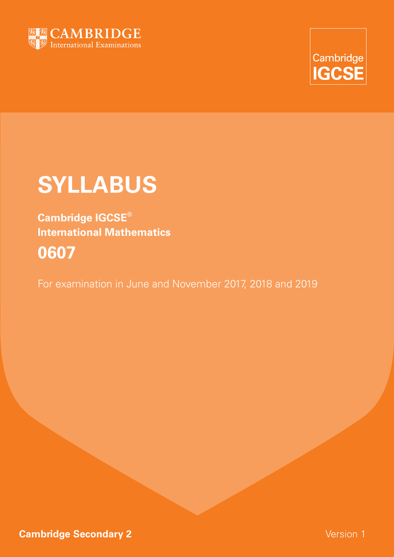



# **SYLLABUS**

**Cambridge IGCSE® International Mathematics 0607**

For examination in June and November 2017, 2018 and 2019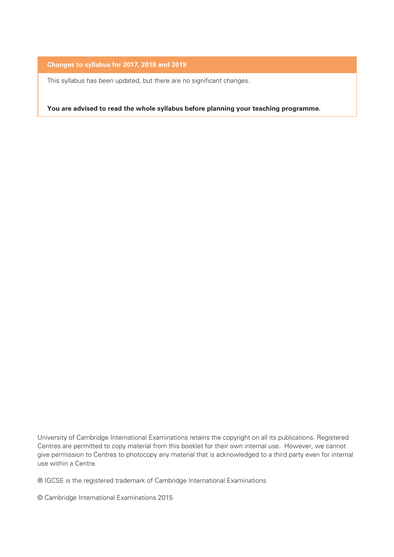#### **Changes to syllabus for 2017, 2018 and 2019**

This syllabus has been updated, but there are no significant changes.

**You are advised to read the whole syllabus before planning your teaching programme.**

University of Cambridge International Examinations retains the copyright on all its publications. Registered Centres are permitted to copy material from this booklet for their own internal use. However, we cannot give permission to Centres to photocopy any material that is acknowledged to a third party even for internal use within a Centre.

® IGCSE is the registered trademark of Cambridge International Examinations

© Cambridge International Examinations 2015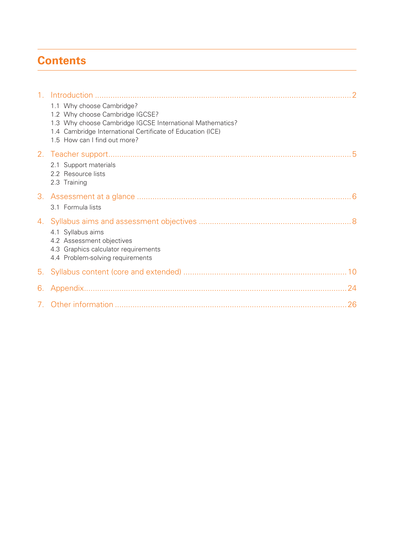# **Contents**

| 1.1 Why choose Cambridge?<br>1.2 Why choose Cambridge IGCSE?<br>1.3 Why choose Cambridge IGCSE International Mathematics?<br>1.4 Cambridge International Certificate of Education (ICE)<br>1.5 How can I find out more?<br>2.1 Support materials<br>2.2 Resource lists<br>2.3 Training<br>3.1 Formula lists<br>4.1 Syllabus aims<br>4.2 Assessment objectives<br>4.3 Graphics calculator requirements<br>4.4 Problem-solving requirements<br>6. |  |  |
|-------------------------------------------------------------------------------------------------------------------------------------------------------------------------------------------------------------------------------------------------------------------------------------------------------------------------------------------------------------------------------------------------------------------------------------------------|--|--|
|                                                                                                                                                                                                                                                                                                                                                                                                                                                 |  |  |
|                                                                                                                                                                                                                                                                                                                                                                                                                                                 |  |  |
|                                                                                                                                                                                                                                                                                                                                                                                                                                                 |  |  |
|                                                                                                                                                                                                                                                                                                                                                                                                                                                 |  |  |
|                                                                                                                                                                                                                                                                                                                                                                                                                                                 |  |  |
|                                                                                                                                                                                                                                                                                                                                                                                                                                                 |  |  |
|                                                                                                                                                                                                                                                                                                                                                                                                                                                 |  |  |
|                                                                                                                                                                                                                                                                                                                                                                                                                                                 |  |  |
|                                                                                                                                                                                                                                                                                                                                                                                                                                                 |  |  |
|                                                                                                                                                                                                                                                                                                                                                                                                                                                 |  |  |
|                                                                                                                                                                                                                                                                                                                                                                                                                                                 |  |  |
|                                                                                                                                                                                                                                                                                                                                                                                                                                                 |  |  |
|                                                                                                                                                                                                                                                                                                                                                                                                                                                 |  |  |
|                                                                                                                                                                                                                                                                                                                                                                                                                                                 |  |  |
|                                                                                                                                                                                                                                                                                                                                                                                                                                                 |  |  |
|                                                                                                                                                                                                                                                                                                                                                                                                                                                 |  |  |
|                                                                                                                                                                                                                                                                                                                                                                                                                                                 |  |  |
|                                                                                                                                                                                                                                                                                                                                                                                                                                                 |  |  |
|                                                                                                                                                                                                                                                                                                                                                                                                                                                 |  |  |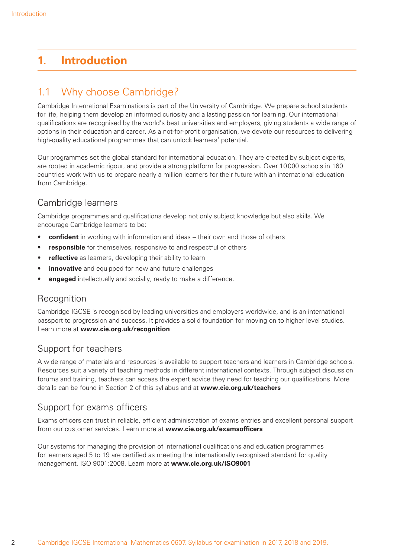# **1. Introduction**

## 1.1 Why choose Cambridge?

Cambridge International Examinations is part of the University of Cambridge. We prepare school students for life, helping them develop an informed curiosity and a lasting passion for learning. Our international qualifications are recognised by the world's best universities and employers, giving students a wide range of options in their education and career. As a not-for-profi t organisation, we devote our resources to delivering high-quality educational programmes that can unlock learners' potential.

Our programmes set the global standard for international education. They are created by subject experts, are rooted in academic rigour, and provide a strong platform for progression. Over 10 000 schools in 160 countries work with us to prepare nearly a million learners for their future with an international education from Cambridge.

## Cambridge learners

Cambridge programmes and qualifications develop not only subject knowledge but also skills. We encourage Cambridge learners to be:

- **confident** in working with information and ideas their own and those of others
- **responsible** for themselves, responsive to and respectful of others
- **reflective** as learners, developing their ability to learn
- **innovative** and equipped for new and future challenges
- **engaged** intellectually and socially, ready to make a difference.

#### **Recognition**

Cambridge IGCSE is recognised by leading universities and employers worldwide, and is an international passport to progression and success. It provides a solid foundation for moving on to higher level studies. Learn more at **www.cie.org.uk/recognition**

#### Support for teachers

A wide range of materials and resources is available to support teachers and learners in Cambridge schools. Resources suit a variety of teaching methods in different international contexts. Through subject discussion forums and training, teachers can access the expert advice they need for teaching our qualifications. More details can be found in Section 2 of this syllabus and at **www.cie.org.uk/teachers**

#### Support for exams officers

Exams officers can trust in reliable, efficient administration of exams entries and excellent personal support from our customer services. Learn more at **www.cie.org.uk/examsofficers** 

Our systems for managing the provision of international qualifications and education programmes for learners aged 5 to 19 are certified as meeting the internationally recognised standard for quality management, ISO 9001:2008. Learn more at **www.cie.org.uk/ISO9001**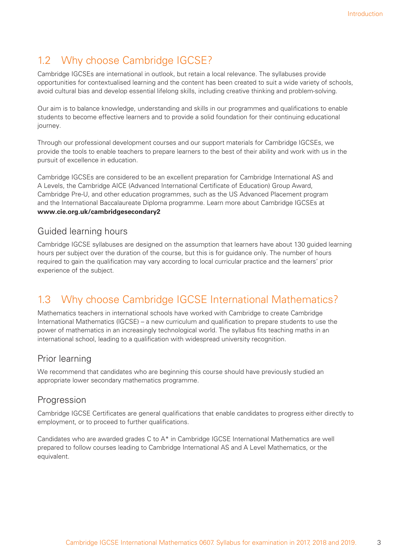# 1.2 Why choose Cambridge IGCSE?

Cambridge IGCSEs are international in outlook, but retain a local relevance. The syllabuses provide opportunities for contextualised learning and the content has been created to suit a wide variety of schools, avoid cultural bias and develop essential lifelong skills, including creative thinking and problem-solving.

Our aim is to balance knowledge, understanding and skills in our programmes and qualifications to enable students to become effective learners and to provide a solid foundation for their continuing educational journey.

Through our professional development courses and our support materials for Cambridge IGCSEs, we provide the tools to enable teachers to prepare learners to the best of their ability and work with us in the pursuit of excellence in education.

Cambridge IGCSEs are considered to be an excellent preparation for Cambridge International AS and A Levels, the Cambridge AICE (Advanced International Certificate of Education) Group Award, Cambridge Pre-U, and other education programmes, such as the US Advanced Placement program and the International Baccalaureate Diploma programme. Learn more about Cambridge IGCSEs at **www.cie.org.uk/cambridgesecondary2**

#### Guided learning hours

Cambridge IGCSE syllabuses are designed on the assumption that learners have about 130 guided learning hours per subject over the duration of the course, but this is for guidance only. The number of hours required to gain the qualification may vary according to local curricular practice and the learners' prior experience of the subject.

# 1.3 Why choose Cambridge IGCSE International Mathematics?

Mathematics teachers in international schools have worked with Cambridge to create Cambridge International Mathematics (IGCSE) – a new curriculum and qualification to prepare students to use the power of mathematics in an increasingly technological world. The syllabus fits teaching maths in an international school, leading to a qualification with widespread university recognition.

#### Prior learning

We recommend that candidates who are beginning this course should have previously studied an appropriate lower secondary mathematics programme.

#### Progression

Cambridge IGCSE Certificates are general qualifications that enable candidates to progress either directly to employment, or to proceed to further qualifications.

Candidates who are awarded grades C to A\* in Cambridge IGCSE International Mathematics are well prepared to follow courses leading to Cambridge International AS and A Level Mathematics, or the equivalent.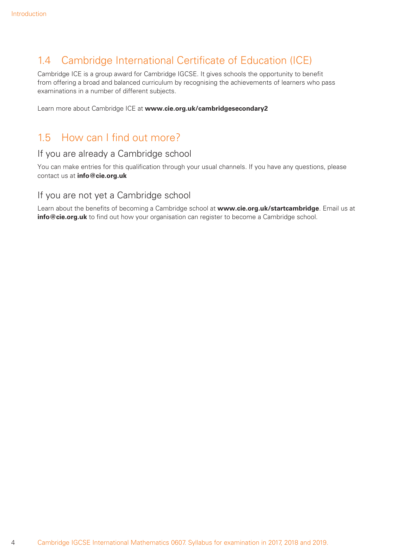## 1.4 Cambridge International Certificate of Education (ICE)

Cambridge ICE is a group award for Cambridge IGCSE. It gives schools the opportunity to benefit from offering a broad and balanced curriculum by recognising the achievements of learners who pass examinations in a number of different subjects.

Learn more about Cambridge ICE at **www.cie.org.uk/cambridgesecondary2**

## 1.5 How can I find out more?

#### If you are already a Cambridge school

You can make entries for this qualification through your usual channels. If you have any questions, please contact us at **info@cie.org.uk**

#### If you are not yet a Cambridge school

Learn about the benefits of becoming a Cambridge school at www.cie.org.uk/startcambridge. Email us at **info@cie.org.uk** to find out how your organisation can register to become a Cambridge school.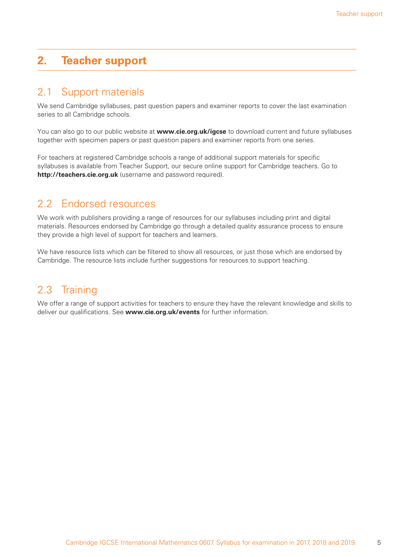## **2. Teacher support**

#### 2.1 Support materials

We send Cambridge syllabuses, past question papers and examiner reports to cover the last examination series to all Cambridge schools.

You can also go to our public website at **www.cie.org.uk/igcse** to download current and future syllabuses together with specimen papers or past question papers and examiner reports from one series.

For teachers at registered Cambridge schools a range of additional support materials for specific syllabuses is available from Teacher Support, our secure online support for Cambridge teachers. Go to **http://teachers.cie.org.uk** (username and password required).

#### 2.2 Endorsed resources

We work with publishers providing a range of resources for our syllabuses including print and digital materials. Resources endorsed by Cambridge go through a detailed quality assurance process to ensure they provide a high level of support for teachers and learners.

We have resource lists which can be filtered to show all resources, or just those which are endorsed by Cambridge. The resource lists include further suggestions for resources to support teaching.

#### 2.3 Training

We offer a range of support activities for teachers to ensure they have the relevant knowledge and skills to deliver our qualifications. See **www.cie.org.uk/events** for further information.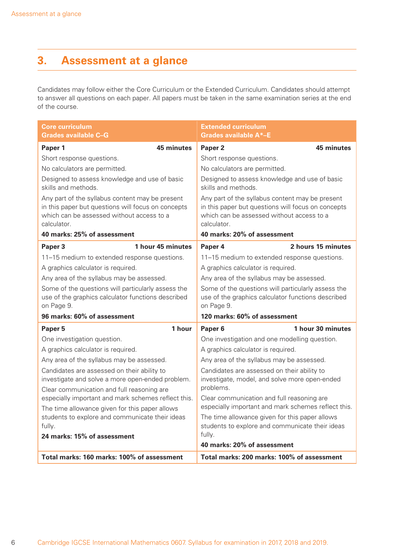# **3. Assessment at a glance**

Candidates may follow either the Core Curriculum or the Extended Curriculum. Candidates should attempt to answer all questions on each paper. All papers must be taken in the same examination series at the end of the course.

| Core curriculum<br><b>Grades available C-G</b>                                                                                                                    | <b>Extended curriculum</b><br><b>Grades available A*-E</b>                                                                                                        |
|-------------------------------------------------------------------------------------------------------------------------------------------------------------------|-------------------------------------------------------------------------------------------------------------------------------------------------------------------|
| 45 minutes<br>Paper 1                                                                                                                                             | Paper <sub>2</sub><br>45 minutes                                                                                                                                  |
| Short response questions.                                                                                                                                         | Short response questions.                                                                                                                                         |
| No calculators are permitted.                                                                                                                                     | No calculators are permitted.                                                                                                                                     |
| Designed to assess knowledge and use of basic<br>skills and methods.                                                                                              | Designed to assess knowledge and use of basic<br>skills and methods.                                                                                              |
| Any part of the syllabus content may be present<br>in this paper but questions will focus on concepts<br>which can be assessed without access to a<br>calculator. | Any part of the syllabus content may be present<br>in this paper but questions will focus on concepts<br>which can be assessed without access to a<br>calculator. |
| 40 marks: 25% of assessment                                                                                                                                       | 40 marks: 20% of assessment                                                                                                                                       |
| 1 hour 45 minutes<br>Paper 3                                                                                                                                      | 2 hours 15 minutes<br>Paper 4                                                                                                                                     |
| 11-15 medium to extended response questions.                                                                                                                      | 11-15 medium to extended response questions.                                                                                                                      |
| A graphics calculator is required.                                                                                                                                | A graphics calculator is required.                                                                                                                                |
| Any area of the syllabus may be assessed.                                                                                                                         | Any area of the syllabus may be assessed.                                                                                                                         |
| Some of the questions will particularly assess the<br>use of the graphics calculator functions described<br>on Page 9.                                            | Some of the questions will particularly assess the<br>use of the graphics calculator functions described<br>on Page 9.                                            |
| 96 marks: 60% of assessment                                                                                                                                       | 120 marks: 60% of assessment                                                                                                                                      |
| 1 hour<br>Paper 5                                                                                                                                                 | 1 hour 30 minutes<br>Paper <sub>6</sub>                                                                                                                           |
| One investigation question.                                                                                                                                       | One investigation and one modelling question.                                                                                                                     |
| A graphics calculator is required.                                                                                                                                | A graphics calculator is required.                                                                                                                                |
| Any area of the syllabus may be assessed.                                                                                                                         | Any area of the syllabus may be assessed.                                                                                                                         |
| Candidates are assessed on their ability to<br>investigate and solve a more open-ended problem.<br>Clear communication and full reasoning are                     | Candidates are assessed on their ability to<br>investigate, model, and solve more open-ended<br>problems.                                                         |
| especially important and mark schemes reflect this.                                                                                                               | Clear communication and full reasoning are                                                                                                                        |
| The time allowance given for this paper allows                                                                                                                    | especially important and mark schemes reflect this.                                                                                                               |
| students to explore and communicate their ideas                                                                                                                   | The time allowance given for this paper allows                                                                                                                    |
| fully.                                                                                                                                                            | students to explore and communicate their ideas<br>fully.                                                                                                         |
| 24 marks: 15% of assessment                                                                                                                                       | 40 marks: 20% of assessment                                                                                                                                       |
|                                                                                                                                                                   |                                                                                                                                                                   |
| Total marks: 160 marks: 100% of assessment                                                                                                                        | Total marks: 200 marks: 100% of assessment                                                                                                                        |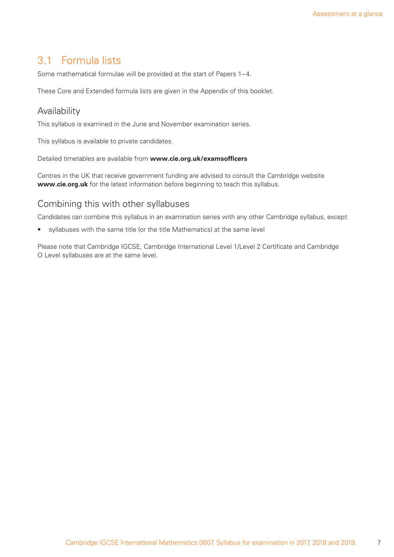## 3.1 Formula lists

Some mathematical formulae will be provided at the start of Papers 1-4.

These Core and Extended formula lists are given in the Appendix of this booklet.

#### Availability

This syllabus is examined in the June and November examination series.

This syllabus is available to private candidates.

Detailed timetables are available from **www.cie.org.uk/examsofficers** 

Centres in the UK that receive government funding are advised to consult the Cambridge website **www.cie.org.uk** for the latest information before beginning to teach this syllabus.

#### Combining this with other syllabuses

Candidates can combine this syllabus in an examination series with any other Cambridge syllabus, except:

• syllabuses with the same title (or the title Mathematics) at the same level

Please note that Cambridge IGCSE, Cambridge International Level 1/Level 2 Certificate and Cambridge O Level syllabuses are at the same level.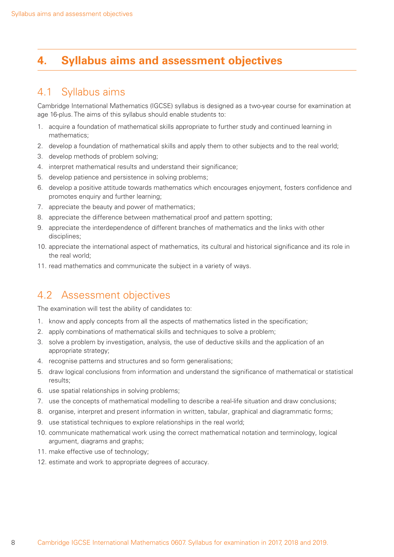## **4. Syllabus aims and assessment objectives**

## 4.1 Syllabus aims

Cambridge International Mathematics (IGCSE) syllabus is designed as a two-year course for examination at age 16-plus. The aims of this syllabus should enable students to:

- 1. acquire a foundation of mathematical skills appropriate to further study and continued learning in mathematics;
- 2. develop a foundation of mathematical skills and apply them to other subjects and to the real world;
- 3. develop methods of problem solving;
- 4. interpret mathematical results and understand their significance;
- 5. develop patience and persistence in solving problems;
- 6. develop a positive attitude towards mathematics which encourages enjoyment, fosters confidence and promotes enquiry and further learning;
- 7. appreciate the beauty and power of mathematics;
- 8. appreciate the difference between mathematical proof and pattern spotting;
- 9. appreciate the interdependence of different branches of mathematics and the links with other disciplines;
- 10. appreciate the international aspect of mathematics, its cultural and historical significance and its role in the real world;
- 11. read mathematics and communicate the subject in a variety of ways.

## 4.2 Assessment objectives

The examination will test the ability of candidates to:

- 1. know and apply concepts from all the aspects of mathematics listed in the specification;
- 2. apply combinations of mathematical skills and techniques to solve a problem;
- 3. solve a problem by investigation, analysis, the use of deductive skills and the application of an appropriate strategy;
- 4. recognise patterns and structures and so form generalisations;
- 5. draw logical conclusions from information and understand the significance of mathematical or statistical results;
- 6. use spatial relationships in solving problems;
- 7. use the concepts of mathematical modelling to describe a real-life situation and draw conclusions;
- 8. organise, interpret and present information in written, tabular, graphical and diagrammatic forms;
- 9. use statistical techniques to explore relationships in the real world;
- 10. communicate mathematical work using the correct mathematical notation and terminology, logical argument, diagrams and graphs;
- 11. make effective use of technology;
- 12. estimate and work to appropriate degrees of accuracy.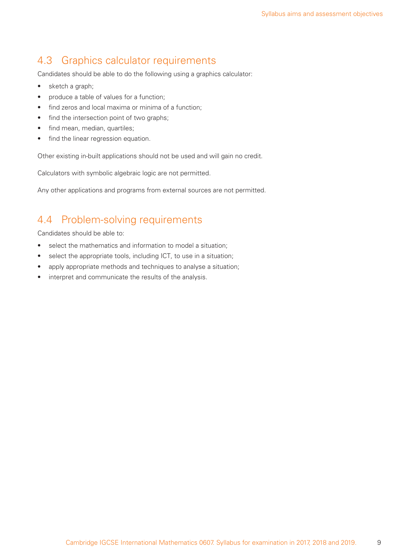## 4.3 Graphics calculator requirements

Candidates should be able to do the following using a graphics calculator:

- sketch a graph;
- produce a table of values for a function;
- find zeros and local maxima or minima of a function;
- find the intersection point of two graphs;
- find mean, median, quartiles;
- find the linear regression equation.

Other existing in-built applications should not be used and will gain no credit.

Calculators with symbolic algebraic logic are not permitted.

Any other applications and programs from external sources are not permitted.

## 4.4 Problem-solving requirements

Candidates should be able to:

- select the mathematics and information to model a situation;
- select the appropriate tools, including ICT, to use in a situation;
- apply appropriate methods and techniques to analyse a situation;
- interpret and communicate the results of the analysis.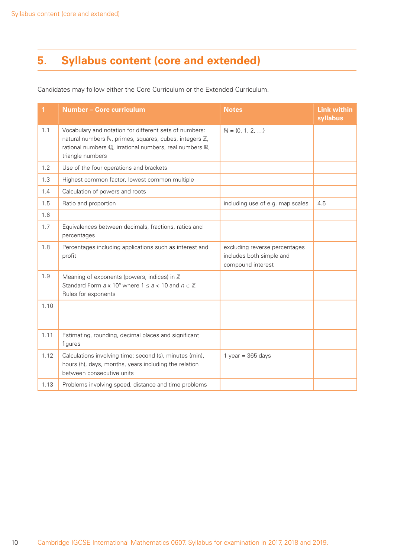# **5. Syllabus content (core and extended)**

Candidates may follow either the Core Curriculum or the Extended Curriculum.

| 1    | Number - Core curriculum                                                                                                                                                                        | <b>Notes</b>                                                                   | <b>Link within</b><br>syllabus |
|------|-------------------------------------------------------------------------------------------------------------------------------------------------------------------------------------------------|--------------------------------------------------------------------------------|--------------------------------|
| 1.1  | Vocabulary and notation for different sets of numbers:<br>natural numbers ℕ, primes, squares, cubes, integers ℤ,<br>rational numbers Q, irrational numbers, real numbers R,<br>triangle numbers | $\mathbb{N} = \{0, 1, 2, \ldots\}$                                             |                                |
| 1.2  | Use of the four operations and brackets                                                                                                                                                         |                                                                                |                                |
| 1.3  | Highest common factor, lowest common multiple                                                                                                                                                   |                                                                                |                                |
| 1.4  | Calculation of powers and roots                                                                                                                                                                 |                                                                                |                                |
| 1.5  | Ratio and proportion                                                                                                                                                                            | including use of e.g. map scales                                               | 4.5                            |
| 1.6  |                                                                                                                                                                                                 |                                                                                |                                |
| 1.7  | Equivalences between decimals, fractions, ratios and<br>percentages                                                                                                                             |                                                                                |                                |
| 1.8  | Percentages including applications such as interest and<br>profit                                                                                                                               | excluding reverse percentages<br>includes both simple and<br>compound interest |                                |
| 1.9  | Meaning of exponents (powers, indices) in $\mathbb Z$<br>Standard Form $ax 10^n$ where $1 \le a < 10$ and $n \in \mathbb{Z}$<br>Rules for exponents                                             |                                                                                |                                |
| 1.10 |                                                                                                                                                                                                 |                                                                                |                                |
| 1.11 | Estimating, rounding, decimal places and significant<br>figures                                                                                                                                 |                                                                                |                                |
| 1.12 | Calculations involving time: second (s), minutes (min),<br>hours (h), days, months, years including the relation<br>between consecutive units                                                   | 1 year = $365$ days                                                            |                                |
| 1.13 | Problems involving speed, distance and time problems                                                                                                                                            |                                                                                |                                |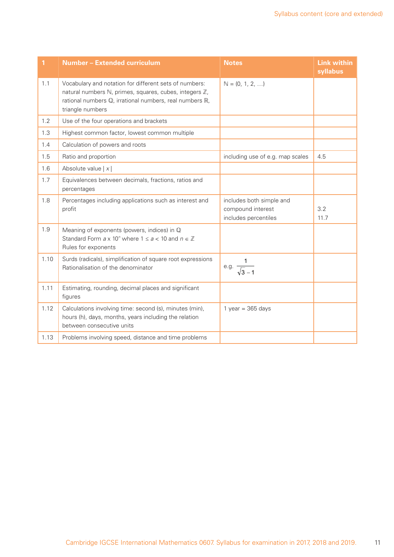| 1    | <b>Number - Extended curriculum</b>                                                                                                                                                             | <b>Notes</b>                                                          | <b>Link within</b><br>syllabus |
|------|-------------------------------------------------------------------------------------------------------------------------------------------------------------------------------------------------|-----------------------------------------------------------------------|--------------------------------|
| 1.1  | Vocabulary and notation for different sets of numbers:<br>natural numbers ℕ, primes, squares, cubes, integers ℤ,<br>rational numbers Q, irrational numbers, real numbers R,<br>triangle numbers | $\mathbb{N} = \{0, 1, 2, \ldots\}$                                    |                                |
| 1.2  | Use of the four operations and brackets                                                                                                                                                         |                                                                       |                                |
| 1.3  | Highest common factor, lowest common multiple                                                                                                                                                   |                                                                       |                                |
| 1.4  | Calculation of powers and roots                                                                                                                                                                 |                                                                       |                                |
| 1.5  | Ratio and proportion                                                                                                                                                                            | including use of e.g. map scales                                      | 4.5                            |
| 1.6  | Absolute value $ x $                                                                                                                                                                            |                                                                       |                                |
| 1.7  | Equivalences between decimals, fractions, ratios and<br>percentages                                                                                                                             |                                                                       |                                |
| 1.8  | Percentages including applications such as interest and<br>profit                                                                                                                               | includes both simple and<br>compound interest<br>includes percentiles | 3.2<br>11.7                    |
| 1.9  | Meaning of exponents (powers, indices) in Q<br>Standard Form $a \times 10^n$ where $1 \le a < 10$ and $n \in \mathbb{Z}$<br>Rules for exponents                                                 |                                                                       |                                |
| 1.10 | Surds (radicals), simplification of square root expressions<br>Rationalisation of the denominator                                                                                               | e.g. $\frac{1}{\sqrt{3}-1}$                                           |                                |
| 1.11 | Estimating, rounding, decimal places and significant<br>figures                                                                                                                                 |                                                                       |                                |
| 1.12 | Calculations involving time: second (s), minutes (min),<br>hours (h), days, months, years including the relation<br>between consecutive units                                                   | 1 year = $365$ days                                                   |                                |
| 1.13 | Problems involving speed, distance and time problems                                                                                                                                            |                                                                       |                                |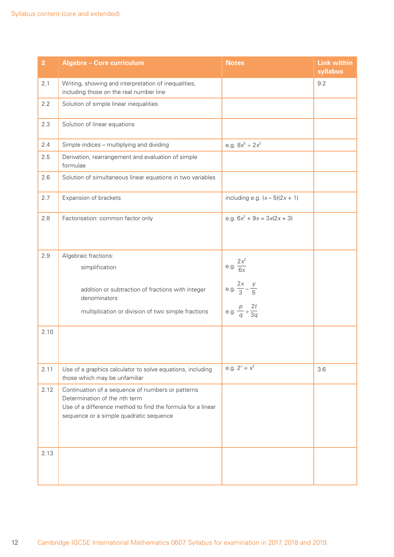| $\overline{2}$ | Algebra - Core curriculum                                                                                                                                                                    | <b>Notes</b>                          | <b>Link within</b><br>syllabus |
|----------------|----------------------------------------------------------------------------------------------------------------------------------------------------------------------------------------------|---------------------------------------|--------------------------------|
| 2.1            | Writing, showing and interpretation of inequalities,<br>including those on the real number line                                                                                              |                                       | 9.2                            |
| 2.2            | Solution of simple linear inequalities                                                                                                                                                       |                                       |                                |
| 2.3            | Solution of linear equations                                                                                                                                                                 |                                       |                                |
| 2.4            | Simple indices - multiplying and dividing                                                                                                                                                    | e.g. $8x^5 \div 2x^3$                 |                                |
| 2.5            | Derivation, rearrangement and evaluation of simple<br>formulae                                                                                                                               |                                       |                                |
| 2.6            | Solution of simultaneous linear equations in two variables                                                                                                                                   |                                       |                                |
| 2.7            | Expansion of brackets                                                                                                                                                                        | including e.g. $(x-5)(2x+1)$          |                                |
| 2.8            | Factorisation: common factor only                                                                                                                                                            | e.g. $6x^2 + 9x = 3x(2x + 3)$         |                                |
| 2.9            | Algebraic fractions:                                                                                                                                                                         |                                       |                                |
|                | simplification                                                                                                                                                                               | e.g. $\frac{2x^2}{6x}$                |                                |
|                | addition or subtraction of fractions with integer<br>denominators                                                                                                                            | e.g. $\frac{2x}{3} - \frac{y}{5}$     |                                |
|                | multiplication or division of two simple fractions                                                                                                                                           | e.g. $\frac{p}{q} \div \frac{2t}{3q}$ |                                |
| 2.10           |                                                                                                                                                                                              |                                       |                                |
| 2.11           | Use of a graphics calculator to solve equations, including<br>those which may be unfamiliar                                                                                                  | e.g. $2^{x} = x^{2}$                  | 3.6                            |
| 2.12           | Continuation of a sequence of numbers or patterns<br>Determination of the nth term<br>Use of a difference method to find the formula for a linear<br>sequence or a simple quadratic sequence |                                       |                                |
| 2.13           |                                                                                                                                                                                              |                                       |                                |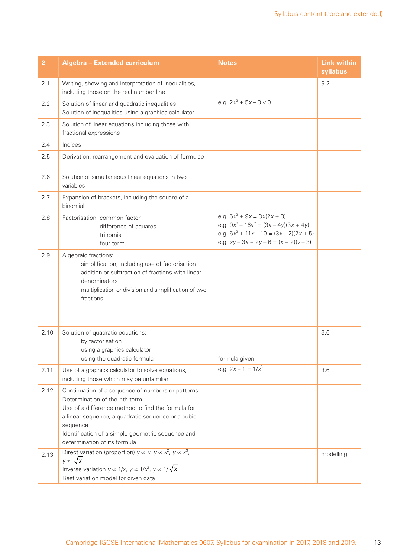| $\overline{2}$ | Algebra - Extended curriculum                                                                                                                                                                                                                                                                   | <b>Notes</b>                                                                                                                                                       | <b>Link within</b><br>syllabus |
|----------------|-------------------------------------------------------------------------------------------------------------------------------------------------------------------------------------------------------------------------------------------------------------------------------------------------|--------------------------------------------------------------------------------------------------------------------------------------------------------------------|--------------------------------|
| 2.1            | Writing, showing and interpretation of inequalities,<br>including those on the real number line                                                                                                                                                                                                 |                                                                                                                                                                    | 9.2                            |
| 2.2            | Solution of linear and quadratic inequalities<br>Solution of inequalities using a graphics calculator                                                                                                                                                                                           | e.g. $2x^2 + 5x - 3 < 0$                                                                                                                                           |                                |
| 2.3            | Solution of linear equations including those with<br>fractional expressions                                                                                                                                                                                                                     |                                                                                                                                                                    |                                |
| 2.4            | Indices                                                                                                                                                                                                                                                                                         |                                                                                                                                                                    |                                |
| 2.5            | Derivation, rearrangement and evaluation of formulae                                                                                                                                                                                                                                            |                                                                                                                                                                    |                                |
| 2.6            | Solution of simultaneous linear equations in two<br>variables                                                                                                                                                                                                                                   |                                                                                                                                                                    |                                |
| 2.7            | Expansion of brackets, including the square of a<br>binomial                                                                                                                                                                                                                                    |                                                                                                                                                                    |                                |
| 2.8            | Factorisation: common factor<br>difference of squares<br>trinomial<br>four term                                                                                                                                                                                                                 | e.g. $6x^2 + 9x = 3x(2x + 3)$<br>e.g. $9x^2 - 16y^2 = (3x - 4y)(3x + 4y)$<br>e.g. $6x^2 + 11x - 10 = (3x - 2)(2x + 5)$<br>e.g. $xy - 3x + 2y - 6 = (x + 2)(y - 3)$ |                                |
| 2.9            | Algebraic fractions:<br>simplification, including use of factorisation<br>addition or subtraction of fractions with linear<br>denominators<br>multiplication or division and simplification of two<br>fractions                                                                                 |                                                                                                                                                                    |                                |
| 2.10           | Solution of quadratic equations:<br>by factorisation<br>using a graphics calculator<br>using the quadratic formula                                                                                                                                                                              | formula given                                                                                                                                                      | 3.6                            |
| 2.11           | Use of a graphics calculator to solve equations,<br>including those which may be unfamiliar                                                                                                                                                                                                     | e.g. $2x - 1 = 1/x^3$                                                                                                                                              | 3.6                            |
| 2.12           | Continuation of a sequence of numbers or patterns<br>Determination of the nth term<br>Use of a difference method to find the formula for<br>a linear sequence, a quadratic sequence or a cubic<br>sequence<br>Identification of a simple geometric sequence and<br>determination of its formula |                                                                                                                                                                    |                                |
| 2.13           | Direct variation (proportion) $y \propto x$ , $y \propto x^2$ , $y \propto x^3$ ,<br>$y \propto \sqrt{x}$<br>Inverse variation $y \propto 1/x$ , $y \propto 1/x^2$ , $y \propto 1/\sqrt{x}$<br>Best variation model for given data                                                              |                                                                                                                                                                    | modelling                      |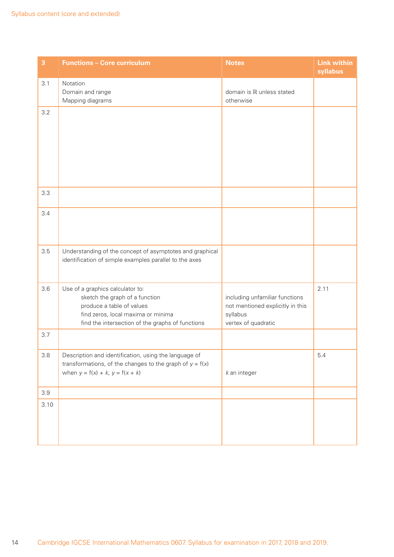| 3    | <b>Functions - Core curriculum</b>                                                                                                                                                        | <b>Notes</b>                                                                                          | <b>Link within</b><br>syllabus |
|------|-------------------------------------------------------------------------------------------------------------------------------------------------------------------------------------------|-------------------------------------------------------------------------------------------------------|--------------------------------|
| 3.1  | Notation<br>Domain and range<br>Mapping diagrams                                                                                                                                          | domain is R unless stated<br>otherwise                                                                |                                |
| 3.2  |                                                                                                                                                                                           |                                                                                                       |                                |
| 3.3  |                                                                                                                                                                                           |                                                                                                       |                                |
| 3.4  |                                                                                                                                                                                           |                                                                                                       |                                |
| 3.5  | Understanding of the concept of asymptotes and graphical<br>identification of simple examples parallel to the axes                                                                        |                                                                                                       |                                |
| 3.6  | Use of a graphics calculator to:<br>sketch the graph of a function<br>produce a table of values<br>find zeros, local maxima or minima<br>find the intersection of the graphs of functions | including unfamiliar functions<br>not mentioned explicitly in this<br>syllabus<br>vertex of quadratic | 2.11                           |
| 3.7  |                                                                                                                                                                                           |                                                                                                       |                                |
| 3.8  | Description and identification, using the language of<br>transformations, of the changes to the graph of $y = f(x)$<br>when $y = f(x) + k$ , $y = f(x + k)$                               | $k$ an integer                                                                                        | 5.4                            |
| 3.9  |                                                                                                                                                                                           |                                                                                                       |                                |
| 3.10 |                                                                                                                                                                                           |                                                                                                       |                                |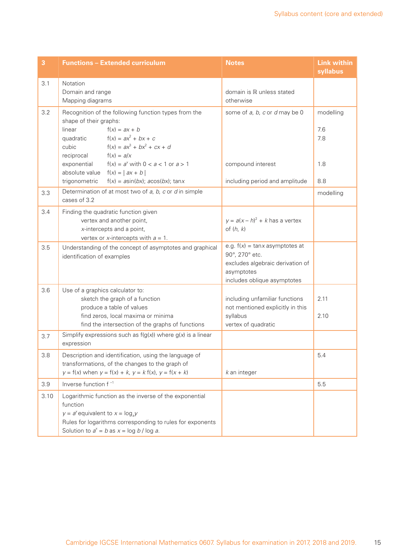| 3    | <b>Functions - Extended curriculum</b>                                                                                                                                                                                       | <b>Notes</b>                                                                                                                          | <b>Link within</b><br>syllabus |
|------|------------------------------------------------------------------------------------------------------------------------------------------------------------------------------------------------------------------------------|---------------------------------------------------------------------------------------------------------------------------------------|--------------------------------|
| 3.1  | Notation<br>Domain and range<br>Mapping diagrams                                                                                                                                                                             | domain is R unless stated<br>otherwise                                                                                                |                                |
| 3.2  | Recognition of the following function types from the<br>shape of their graphs:<br>$f(x) = ax + b$<br>linear<br>$f(x) = ax^2 + bx + c$<br>quadratic<br>$f(x) = ax^3 + bx^2 + cx + d$<br>cubic<br>reciprocal<br>$f(x) = a/x$   | some of a, b, c or d may be 0                                                                                                         | modelling<br>7.6<br>7.8        |
|      | $f(x) = a^x$ with $0 < a < 1$ or $a > 1$<br>exponential<br>absolute value<br>$f(x) =  ax + b $<br>trigonometric<br>$f(x) = a\sin(bx)$ ; $a\cos(bx)$ ; $\tan x$                                                               | compound interest<br>including period and amplitude                                                                                   | 1.8<br>8.8                     |
| 3.3  | Determination of at most two of $a$ , $b$ , $c$ or $d$ in simple<br>cases of 3.2                                                                                                                                             |                                                                                                                                       | modelling                      |
| 3.4  | Finding the quadratic function given<br>vertex and another point,<br>x-intercepts and a point,<br>vertex or x-intercepts with $a = 1$ .                                                                                      | $y = a(x - h)^2 + k$ has a vertex<br>of $(h, k)$                                                                                      |                                |
| 3.5  | Understanding of the concept of asymptotes and graphical<br>identification of examples                                                                                                                                       | e.g. $f(x) = \tan x$ asymptotes at<br>90°, 270° etc.<br>excludes algebraic derivation of<br>asymptotes<br>includes oblique asymptotes |                                |
| 3.6  | Use of a graphics calculator to:<br>sketch the graph of a function<br>produce a table of values<br>find zeros, local maxima or minima<br>find the intersection of the graphs of functions                                    | including unfamiliar functions<br>not mentioned explicitly in this<br>syllabus<br>vertex of quadratic                                 | 2.11<br>2.10                   |
| 3.7  | Simplify expressions such as $f(g(x))$ where $g(x)$ is a linear<br>expression                                                                                                                                                |                                                                                                                                       |                                |
| 3.8  | Description and identification, using the language of<br>transformations, of the changes to the graph of<br>$y = f(x)$ when $y = f(x) + k$ , $y = k f(x)$ , $y = f(x + k)$                                                   | $k$ an integer                                                                                                                        | 5.4                            |
| 3.9  | Inverse function f <sup>-1</sup>                                                                                                                                                                                             |                                                                                                                                       | 5.5                            |
| 3.10 | Logarithmic function as the inverse of the exponential<br>function<br>$y = a^x$ equivalent to $x = log_a y$<br>Rules for logarithms corresponding to rules for exponents<br>Solution to $a^x = b$ as $x = \log b / \log a$ . |                                                                                                                                       |                                |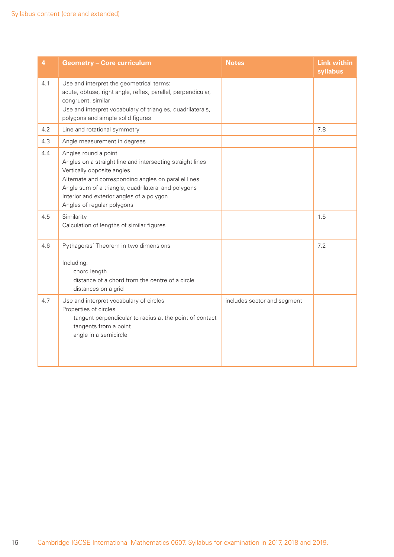| 4   | <b>Geometry - Core curriculum</b>                                                                                                                                                                                                                                                                         | <b>Notes</b>                | <b>Link within</b><br>syllabus |
|-----|-----------------------------------------------------------------------------------------------------------------------------------------------------------------------------------------------------------------------------------------------------------------------------------------------------------|-----------------------------|--------------------------------|
| 4.1 | Use and interpret the geometrical terms:<br>acute, obtuse, right angle, reflex, parallel, perpendicular,<br>congruent, similar<br>Use and interpret vocabulary of triangles, quadrilaterals,<br>polygons and simple solid figures                                                                         |                             |                                |
| 4.2 | Line and rotational symmetry                                                                                                                                                                                                                                                                              |                             | 7.8                            |
| 4.3 | Angle measurement in degrees                                                                                                                                                                                                                                                                              |                             |                                |
| 4.4 | Angles round a point<br>Angles on a straight line and intersecting straight lines<br>Vertically opposite angles<br>Alternate and corresponding angles on parallel lines<br>Angle sum of a triangle, quadrilateral and polygons<br>Interior and exterior angles of a polygon<br>Angles of regular polygons |                             |                                |
| 4.5 | Similarity<br>Calculation of lengths of similar figures                                                                                                                                                                                                                                                   |                             | 1.5                            |
| 4.6 | Pythagoras' Theorem in two dimensions<br>Including:<br>chord length<br>distance of a chord from the centre of a circle<br>distances on a grid                                                                                                                                                             |                             | 7.2                            |
| 4.7 | Use and interpret vocabulary of circles<br>Properties of circles<br>tangent perpendicular to radius at the point of contact<br>tangents from a point<br>angle in a semicircle                                                                                                                             | includes sector and segment |                                |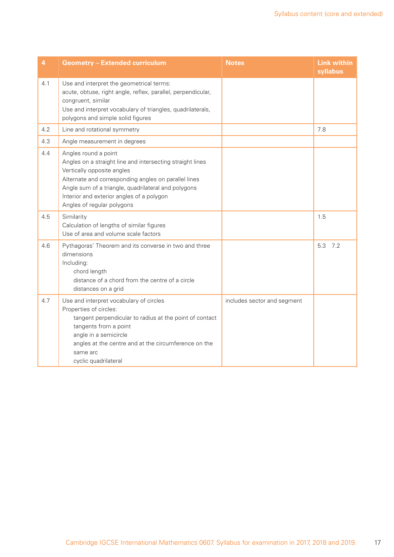| 4   | <b>Geometry - Extended curriculum</b>                                                                                                                                                                                                                                                                     | <b>Notes</b>                | <b>Link within</b><br>syllabus |
|-----|-----------------------------------------------------------------------------------------------------------------------------------------------------------------------------------------------------------------------------------------------------------------------------------------------------------|-----------------------------|--------------------------------|
| 4.1 | Use and interpret the geometrical terms:<br>acute, obtuse, right angle, reflex, parallel, perpendicular,<br>congruent, similar<br>Use and interpret vocabulary of triangles, quadrilaterals,<br>polygons and simple solid figures                                                                         |                             |                                |
| 4.2 | Line and rotational symmetry                                                                                                                                                                                                                                                                              |                             | 7.8                            |
| 4.3 | Angle measurement in degrees                                                                                                                                                                                                                                                                              |                             |                                |
| 4.4 | Angles round a point<br>Angles on a straight line and intersecting straight lines<br>Vertically opposite angles<br>Alternate and corresponding angles on parallel lines<br>Angle sum of a triangle, quadrilateral and polygons<br>Interior and exterior angles of a polygon<br>Angles of regular polygons |                             |                                |
| 4.5 | Similarity<br>Calculation of lengths of similar figures<br>Use of area and volume scale factors                                                                                                                                                                                                           |                             | 1.5                            |
| 4.6 | Pythagoras' Theorem and its converse in two and three<br>dimensions<br>Including:<br>chord length<br>distance of a chord from the centre of a circle<br>distances on a grid                                                                                                                               |                             | 5.3<br>7.2                     |
| 4.7 | Use and interpret vocabulary of circles<br>Properties of circles:<br>tangent perpendicular to radius at the point of contact<br>tangents from a point<br>angle in a semicircle<br>angles at the centre and at the circumference on the<br>same arc<br>cyclic quadrilateral                                | includes sector and segment |                                |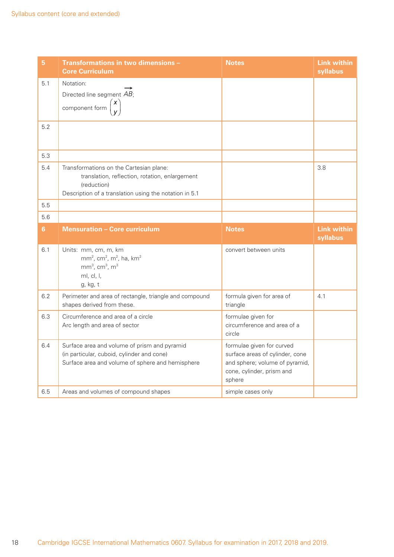| 5   | Transformations in two dimensions -<br><b>Core Curriculum</b>                                                                                                      | <b>Notes</b>                                                                                                                          | <b>Link within</b><br>syllabus |
|-----|--------------------------------------------------------------------------------------------------------------------------------------------------------------------|---------------------------------------------------------------------------------------------------------------------------------------|--------------------------------|
| 5.1 | Notation:                                                                                                                                                          |                                                                                                                                       |                                |
|     | Directed line segment AB;                                                                                                                                          |                                                                                                                                       |                                |
|     | component form $\begin{pmatrix} x \\ y \end{pmatrix}$                                                                                                              |                                                                                                                                       |                                |
| 5.2 |                                                                                                                                                                    |                                                                                                                                       |                                |
| 5.3 |                                                                                                                                                                    |                                                                                                                                       |                                |
| 5.4 | Transformations on the Cartesian plane:<br>translation, reflection, rotation, enlargement<br>(reduction)<br>Description of a translation using the notation in 5.1 |                                                                                                                                       | 3.8                            |
| 5.5 |                                                                                                                                                                    |                                                                                                                                       |                                |
| 5.6 |                                                                                                                                                                    |                                                                                                                                       |                                |
| 6   | <b>Mensuration - Core curriculum</b>                                                                                                                               | <b>Notes</b>                                                                                                                          | <b>Link within</b><br>syllabus |
| 6.1 | Units: mm, cm, m, km<br>$mm2$ , cm <sup>2</sup> , m <sup>2</sup> , ha, km <sup>2</sup><br>$mm3$ , cm <sup>3</sup> , m <sup>3</sup><br>ml, cl, l,<br>g, kg, t       | convert between units                                                                                                                 |                                |
| 6.2 | Perimeter and area of rectangle, triangle and compound<br>shapes derived from these.                                                                               | formula given for area of<br>triangle                                                                                                 | 4.1                            |
| 6.3 | Circumference and area of a circle<br>Arc length and area of sector                                                                                                | formulae given for<br>circumference and area of a<br>circle                                                                           |                                |
| 6.4 | Surface area and volume of prism and pyramid<br>(in particular, cuboid, cylinder and cone)<br>Surface area and volume of sphere and hemisphere                     | formulae given for curved<br>surface areas of cylinder, cone<br>and sphere; volume of pyramid,<br>cone, cylinder, prism and<br>sphere |                                |
| 6.5 | Areas and volumes of compound shapes                                                                                                                               | simple cases only                                                                                                                     |                                |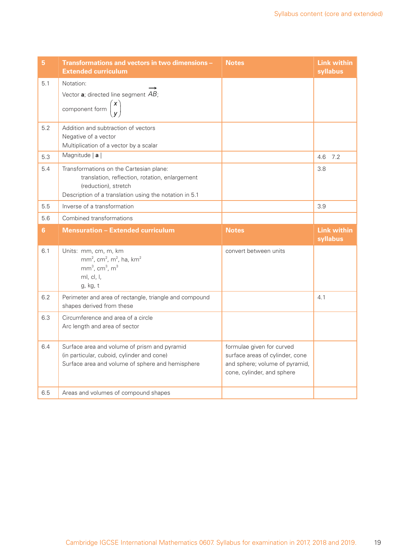| 5.  | Transformations and vectors in two dimensions -<br><b>Extended curriculum</b>                                                                                | <b>Notes</b>                                                                                                                 | <b>Link within</b><br>syllabus |
|-----|--------------------------------------------------------------------------------------------------------------------------------------------------------------|------------------------------------------------------------------------------------------------------------------------------|--------------------------------|
| 5.1 | Notation:                                                                                                                                                    |                                                                                                                              |                                |
|     | Vector a; directed line segment AB;                                                                                                                          |                                                                                                                              |                                |
|     | $\begin{pmatrix} x \\ v \end{pmatrix}$<br>component form                                                                                                     |                                                                                                                              |                                |
| 5.2 | Addition and subtraction of vectors                                                                                                                          |                                                                                                                              |                                |
|     | Negative of a vector<br>Multiplication of a vector by a scalar                                                                                               |                                                                                                                              |                                |
| 5.3 | Magnitude   a                                                                                                                                                |                                                                                                                              | 4.6<br>7.2                     |
| 5.4 | Transformations on the Cartesian plane:<br>translation, reflection, rotation, enlargement<br>(reduction), stretch                                            |                                                                                                                              | 3.8                            |
|     | Description of a translation using the notation in 5.1                                                                                                       |                                                                                                                              |                                |
| 5.5 | Inverse of a transformation                                                                                                                                  |                                                                                                                              | 3.9                            |
| 5.6 | Combined transformations                                                                                                                                     |                                                                                                                              |                                |
| 6   | <b>Mensuration - Extended curriculum</b>                                                                                                                     | <b>Notes</b>                                                                                                                 | <b>Link within</b><br>syllabus |
| 6.1 | Units: mm, cm, m, km<br>$mm2$ , cm <sup>2</sup> , m <sup>2</sup> , ha, km <sup>2</sup><br>$mm3$ , cm <sup>3</sup> , m <sup>3</sup><br>ml, cl, l,<br>g, kg, t | convert between units                                                                                                        |                                |
| 6.2 | Perimeter and area of rectangle, triangle and compound<br>shapes derived from these                                                                          |                                                                                                                              | 4.1                            |
| 6.3 | Circumference and area of a circle<br>Arc length and area of sector                                                                                          |                                                                                                                              |                                |
| 6.4 | Surface area and volume of prism and pyramid<br>(in particular, cuboid, cylinder and cone)<br>Surface area and volume of sphere and hemisphere               | formulae given for curved<br>surface areas of cylinder, cone<br>and sphere; volume of pyramid,<br>cone, cylinder, and sphere |                                |
| 6.5 | Areas and volumes of compound shapes                                                                                                                         |                                                                                                                              |                                |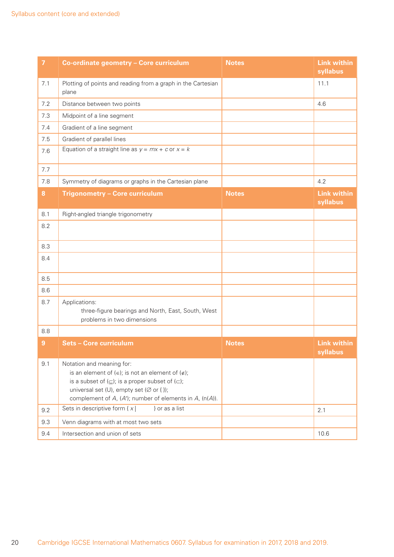| $\overline{7}$ | Co-ordinate geometry - Core curriculum                                                                                                                                                                                                                                                            | <b>Notes</b> | <b>Link within</b><br>syllabus |
|----------------|---------------------------------------------------------------------------------------------------------------------------------------------------------------------------------------------------------------------------------------------------------------------------------------------------|--------------|--------------------------------|
| 7.1            | Plotting of points and reading from a graph in the Cartesian<br>plane                                                                                                                                                                                                                             |              | 11.1                           |
| 7.2            | Distance between two points                                                                                                                                                                                                                                                                       |              | 4.6                            |
| 7.3            | Midpoint of a line segment                                                                                                                                                                                                                                                                        |              |                                |
| 7.4            | Gradient of a line segment                                                                                                                                                                                                                                                                        |              |                                |
| 7.5            | Gradient of parallel lines                                                                                                                                                                                                                                                                        |              |                                |
| 7.6            | Equation of a straight line as $y = mx + c$ or $x = k$                                                                                                                                                                                                                                            |              |                                |
| 7.7            |                                                                                                                                                                                                                                                                                                   |              |                                |
| 7.8            | Symmetry of diagrams or graphs in the Cartesian plane                                                                                                                                                                                                                                             |              | 4.2                            |
| 8              | Trigonometry - Core curriculum                                                                                                                                                                                                                                                                    | <b>Notes</b> | <b>Link within</b><br>syllabus |
| 8.1            | Right-angled triangle trigonometry                                                                                                                                                                                                                                                                |              |                                |
| 8.2            |                                                                                                                                                                                                                                                                                                   |              |                                |
| 8.3            |                                                                                                                                                                                                                                                                                                   |              |                                |
| 8.4            |                                                                                                                                                                                                                                                                                                   |              |                                |
| 8.5            |                                                                                                                                                                                                                                                                                                   |              |                                |
| 8.6            |                                                                                                                                                                                                                                                                                                   |              |                                |
| 8.7            | Applications:<br>three-figure bearings and North, East, South, West<br>problems in two dimensions                                                                                                                                                                                                 |              |                                |
| 8.8            |                                                                                                                                                                                                                                                                                                   |              |                                |
| 9              | <b>Sets - Core curriculum</b>                                                                                                                                                                                                                                                                     | <b>Notes</b> | <b>Link within</b><br>syllabus |
| 9.1            | Notation and meaning for:<br>is an element of $( \in )$ ; is not an element of $( \notin )$ ;<br>is a subset of $(\subseteq)$ ; is a proper subset of $(\subset)$ ;<br>universal set (U), empty set ( $\emptyset$ or { });<br>complement of $A$ , $(A')$ ; number of elements in $A$ , $(n(A))$ . |              |                                |
| 9.2            | Sets in descriptive form $\{x \}$<br>} or as a list                                                                                                                                                                                                                                               |              | 2.1                            |
| 9.3            | Venn diagrams with at most two sets                                                                                                                                                                                                                                                               |              |                                |
| 9.4            | Intersection and union of sets                                                                                                                                                                                                                                                                    |              | 10.6                           |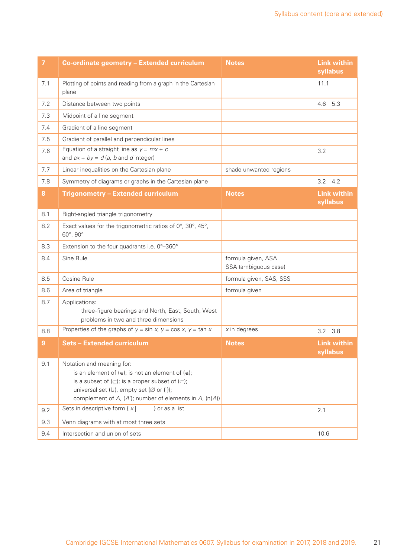| $\overline{7}$ | Co-ordinate geometry - Extended curriculum                                                                                                                                                                                                                                                    | <b>Notes</b>                               | <b>Link within</b><br>syllabus |
|----------------|-----------------------------------------------------------------------------------------------------------------------------------------------------------------------------------------------------------------------------------------------------------------------------------------------|--------------------------------------------|--------------------------------|
| 7.1            | Plotting of points and reading from a graph in the Cartesian<br>plane                                                                                                                                                                                                                         |                                            | 11.1                           |
| 7.2            | Distance between two points                                                                                                                                                                                                                                                                   |                                            | 4.6<br>5.3                     |
| 7.3            | Midpoint of a line segment                                                                                                                                                                                                                                                                    |                                            |                                |
| 7.4            | Gradient of a line segment                                                                                                                                                                                                                                                                    |                                            |                                |
| 7.5            | Gradient of parallel and perpendicular lines                                                                                                                                                                                                                                                  |                                            |                                |
| 7.6            | Equation of a straight line as $y = mx + c$<br>and $ax + by = d(a, b \text{ and } d \text{ integer})$                                                                                                                                                                                         |                                            | 3.2                            |
| 7.7            | Linear inequalities on the Cartesian plane                                                                                                                                                                                                                                                    | shade unwanted regions                     |                                |
| 7.8            | Symmetry of diagrams or graphs in the Cartesian plane                                                                                                                                                                                                                                         |                                            | $3.2$ 4.2                      |
| 8              | <b>Trigonometry - Extended curriculum</b>                                                                                                                                                                                                                                                     | <b>Notes</b>                               | <b>Link within</b><br>syllabus |
| 8.1            | Right-angled triangle trigonometry                                                                                                                                                                                                                                                            |                                            |                                |
| 8.2            | Exact values for the trigonometric ratios of $0^\circ$ , $30^\circ$ , $45^\circ$ ,<br>60°, 90°                                                                                                                                                                                                |                                            |                                |
| 8.3            | Extension to the four quadrants i.e. 0°-360°                                                                                                                                                                                                                                                  |                                            |                                |
| 8.4            | Sine Rule                                                                                                                                                                                                                                                                                     | formula given, ASA<br>SSA (ambiguous case) |                                |
| 8.5            | Cosine Rule                                                                                                                                                                                                                                                                                   | formula given, SAS, SSS                    |                                |
| 8.6            | Area of triangle                                                                                                                                                                                                                                                                              | formula given                              |                                |
| 8.7            | Applications:<br>three-figure bearings and North, East, South, West<br>problems in two and three dimensions                                                                                                                                                                                   |                                            |                                |
| 8.8            | Properties of the graphs of $y = \sin x$ , $y = \cos x$ , $y = \tan x$                                                                                                                                                                                                                        | $x$ in degrees                             | 3.2 3.8                        |
| $\overline{9}$ | <b>Sets - Extended curriculum</b>                                                                                                                                                                                                                                                             | <b>Notes</b>                               | <b>Link within</b><br>syllabus |
| 9.1            | Notation and meaning for:<br>is an element of $(\in)$ ; is not an element of $(\notin)$ ;<br>is a subset of $(\subseteq)$ ; is a proper subset of $(\subset)$ ;<br>universal set (U), empty set ( $\varnothing$ or { });<br>complement of $A$ , $(A')$ ; number of elements in $A$ , $(n(A))$ |                                            |                                |
| 9.2            | Sets in descriptive form $\{x\}$<br>} or as a list                                                                                                                                                                                                                                            |                                            | 2.1                            |
| 9.3            | Venn diagrams with at most three sets                                                                                                                                                                                                                                                         |                                            |                                |
| 9.4            | Intersection and union of sets                                                                                                                                                                                                                                                                |                                            | 10.6                           |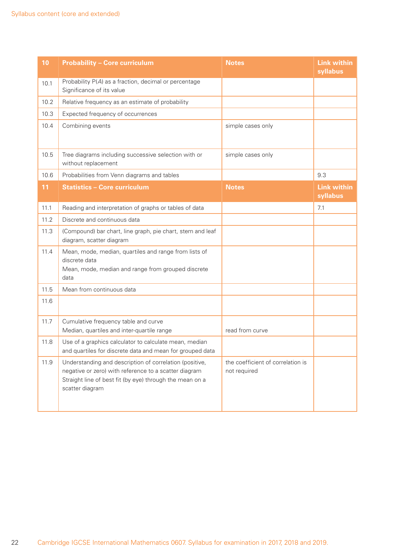| 10   | <b>Probability - Core curriculum</b>                                                                                                                                                            | <b>Notes</b>                                      | <b>Link within</b><br>syllabus |
|------|-------------------------------------------------------------------------------------------------------------------------------------------------------------------------------------------------|---------------------------------------------------|--------------------------------|
| 10.1 | Probability P(A) as a fraction, decimal or percentage<br>Significance of its value                                                                                                              |                                                   |                                |
| 10.2 | Relative frequency as an estimate of probability                                                                                                                                                |                                                   |                                |
| 10.3 | Expected frequency of occurrences                                                                                                                                                               |                                                   |                                |
| 10.4 | Combining events                                                                                                                                                                                | simple cases only                                 |                                |
| 10.5 | Tree diagrams including successive selection with or<br>without replacement                                                                                                                     | simple cases only                                 |                                |
| 10.6 | Probabilities from Venn diagrams and tables                                                                                                                                                     |                                                   | 9.3                            |
| 11   | <b>Statistics - Core curriculum</b>                                                                                                                                                             | <b>Notes</b>                                      | <b>Link within</b><br>syllabus |
| 11.1 | Reading and interpretation of graphs or tables of data                                                                                                                                          |                                                   | 7.1                            |
| 11.2 | Discrete and continuous data                                                                                                                                                                    |                                                   |                                |
| 11.3 | (Compound) bar chart, line graph, pie chart, stem and leaf<br>diagram, scatter diagram                                                                                                          |                                                   |                                |
| 11.4 | Mean, mode, median, quartiles and range from lists of<br>discrete data<br>Mean, mode, median and range from grouped discrete<br>data                                                            |                                                   |                                |
| 11.5 | Mean from continuous data                                                                                                                                                                       |                                                   |                                |
| 11.6 |                                                                                                                                                                                                 |                                                   |                                |
| 11.7 | Cumulative frequency table and curve<br>Median, quartiles and inter-quartile range                                                                                                              | read from curve                                   |                                |
| 11.8 | Use of a graphics calculator to calculate mean, median<br>and quartiles for discrete data and mean for grouped data                                                                             |                                                   |                                |
| 11.9 | Understanding and description of correlation (positive,<br>negative or zero) with reference to a scatter diagram<br>Straight line of best fit (by eye) through the mean on a<br>scatter diagram | the coefficient of correlation is<br>not required |                                |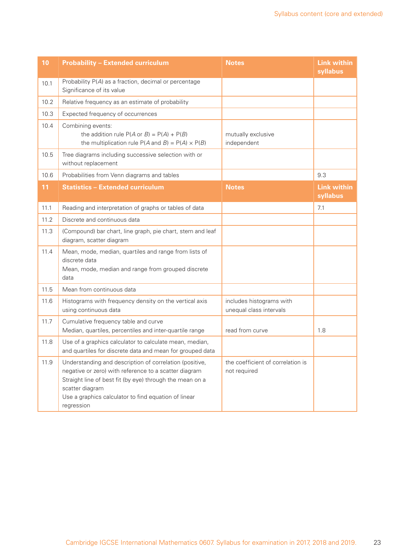| 10   | <b>Probability - Extended curriculum</b>                                                                                                                                                                                                                              | <b>Notes</b>                                        | <b>Link within</b><br>syllabus |
|------|-----------------------------------------------------------------------------------------------------------------------------------------------------------------------------------------------------------------------------------------------------------------------|-----------------------------------------------------|--------------------------------|
| 10.1 | Probability P(A) as a fraction, decimal or percentage<br>Significance of its value                                                                                                                                                                                    |                                                     |                                |
| 10.2 | Relative frequency as an estimate of probability                                                                                                                                                                                                                      |                                                     |                                |
| 10.3 | Expected frequency of occurrences                                                                                                                                                                                                                                     |                                                     |                                |
| 10.4 | Combining events:<br>the addition rule $P(A \text{ or } B) = P(A) + P(B)$<br>the multiplication rule $P(A \text{ and } B) = P(A) \times P(B)$                                                                                                                         | mutually exclusive<br>independent                   |                                |
| 10.5 | Tree diagrams including successive selection with or<br>without replacement                                                                                                                                                                                           |                                                     |                                |
| 10.6 | Probabilities from Venn diagrams and tables                                                                                                                                                                                                                           |                                                     | 9.3                            |
| 11   | <b>Statistics - Extended curriculum</b>                                                                                                                                                                                                                               | <b>Notes</b>                                        | <b>Link within</b><br>syllabus |
| 11.1 | Reading and interpretation of graphs or tables of data                                                                                                                                                                                                                |                                                     | 7.1                            |
| 11.2 | Discrete and continuous data                                                                                                                                                                                                                                          |                                                     |                                |
| 11.3 | (Compound) bar chart, line graph, pie chart, stem and leaf<br>diagram, scatter diagram                                                                                                                                                                                |                                                     |                                |
| 11.4 | Mean, mode, median, quartiles and range from lists of<br>discrete data<br>Mean, mode, median and range from grouped discrete<br>data                                                                                                                                  |                                                     |                                |
| 11.5 | Mean from continuous data                                                                                                                                                                                                                                             |                                                     |                                |
| 11.6 | Histograms with frequency density on the vertical axis<br>using continuous data                                                                                                                                                                                       | includes histograms with<br>unequal class intervals |                                |
| 11.7 | Cumulative frequency table and curve<br>Median, quartiles, percentiles and inter-quartile range                                                                                                                                                                       | read from curve                                     | 1.8                            |
| 11.8 | Use of a graphics calculator to calculate mean, median,<br>and quartiles for discrete data and mean for grouped data                                                                                                                                                  |                                                     |                                |
| 11.9 | Understanding and description of correlation (positive,<br>negative or zero) with reference to a scatter diagram<br>Straight line of best fit (by eye) through the mean on a<br>scatter diagram<br>Use a graphics calculator to find equation of linear<br>regression | the coefficient of correlation is<br>not required   |                                |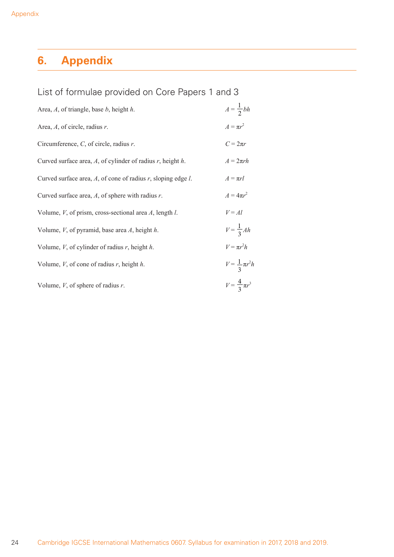# **6. Appendix**

| List of formulae provided on Core Papers 1 and 3 |  |  |  |  |
|--------------------------------------------------|--|--|--|--|
|--------------------------------------------------|--|--|--|--|

| Area, $A$ , of triangle, base $b$ , height $h$ .                      | $A=\frac{1}{2}bh$          |
|-----------------------------------------------------------------------|----------------------------|
| Area, $A$ , of circle, radius $r$ .                                   | $A = \pi r^2$              |
| Circumference, $C$ , of circle, radius $r$ .                          | $C = 2\pi r$               |
| Curved surface area, A, of cylinder of radius $r$ , height $h$ .      | $A = 2\pi rh$              |
| Curved surface area, $A$ , of cone of radius $r$ , sloping edge $l$ . | $A=\pi rl$                 |
| Curved surface area, $A$ , of sphere with radius $r$ .                | $A = 4\pi r^2$             |
| Volume, $V$ , of prism, cross-sectional area $A$ , length $l$ .       | $V = Al$                   |
| Volume, $V$ , of pyramid, base area $A$ , height $h$ .                | $V = \frac{1}{3}Ah$        |
| Volume, $V$ , of cylinder of radius $r$ , height $h$ .                | $V = \pi r^2 h$            |
| Volume, $V$ , of cone of radius $r$ , height $h$ .                    | $V = \frac{1}{3}\pi r^2 h$ |
| Volume, $V$ , of sphere of radius $r$ .                               | $V = \frac{4}{3} \pi r^3$  |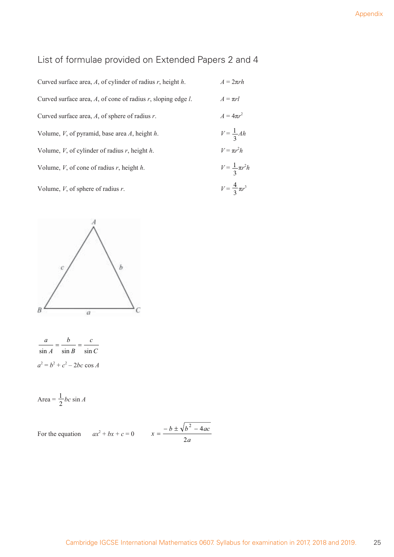## List of formulae provided on Extended Papers 2 and 4

| Curved surface area, A, of cylinder of radius r, height $h$ .         | $A = 2\pi rh$              |
|-----------------------------------------------------------------------|----------------------------|
| Curved surface area, $A$ , of cone of radius $r$ , sloping edge $l$ . | $A = \pi r l$              |
| Curved surface area, A, of sphere of radius r.                        | $A = 4\pi r^2$             |
| Volume, $V$ , of pyramid, base area $A$ , height $h$ .                | $V = \frac{1}{3}Ah$        |
| Volume, V, of cylinder of radius r, height $h$ .                      | $V = \pi r^2 h$            |
| Volume, $V$ , of cone of radius $r$ , height $h$ .                    | $V = \frac{1}{3}\pi r^2 h$ |
| Volume, V, of sphere of radius $r$ .                                  | $V = \frac{4}{3} \pi r^3$  |



| a                              | h                          | C |  |  |
|--------------------------------|----------------------------|---|--|--|
|                                | $\sin A$ $\sin B$ $\sin C$ |   |  |  |
| $a^2 = b^2 + c^2 - 2bc \cos A$ |                            |   |  |  |

$$
Area = \frac{1}{2}bc \sin A
$$

For the equation 
$$
ax^2 + bx + c = 0
$$
  $x = \frac{-b \pm \sqrt{b^2 - 4ac}}{2a}$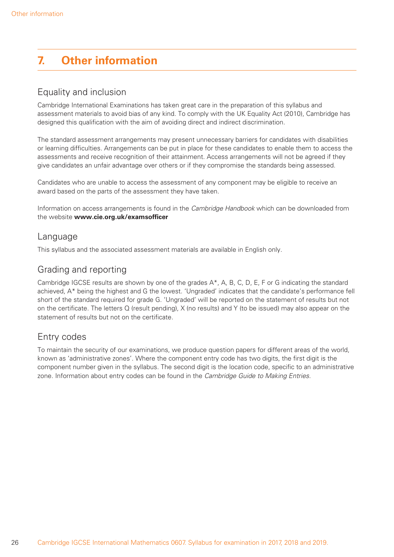# **7. Other information**

#### Equality and inclusion

Cambridge International Examinations has taken great care in the preparation of this syllabus and assessment materials to avoid bias of any kind. To comply with the UK Equality Act (2010), Cambridge has designed this qualification with the aim of avoiding direct and indirect discrimination.

The standard assessment arrangements may present unnecessary barriers for candidates with disabilities or learning difficulties. Arrangements can be put in place for these candidates to enable them to access the assessments and receive recognition of their attainment. Access arrangements will not be agreed if they give candidates an unfair advantage over others or if they compromise the standards being assessed.

Candidates who are unable to access the assessment of any component may be eligible to receive an award based on the parts of the assessment they have taken.

Information on access arrangements is found in the Cambridge Handbook which can be downloaded from the website **www.cie.org.uk/examsofficer** 

#### Language

This syllabus and the associated assessment materials are available in English only.

#### Grading and reporting

Cambridge IGCSE results are shown by one of the grades A\*, A, B, C, D, E, F or G indicating the standard achieved, A\* being the highest and G the lowest. 'Ungraded' indicates that the candidate's performance fell short of the standard required for grade G. 'Ungraded' will be reported on the statement of results but not on the certificate. The letters  $Q$  (result pending),  $X$  (no results) and  $Y$  (to be issued) may also appear on the statement of results but not on the certificate.

#### Entry codes

To maintain the security of our examinations, we produce question papers for different areas of the world, known as 'administrative zones'. Where the component entry code has two digits, the first digit is the component number given in the syllabus. The second digit is the location code, specific to an administrative zone. Information about entry codes can be found in the Cambridge Guide to Making Entries.